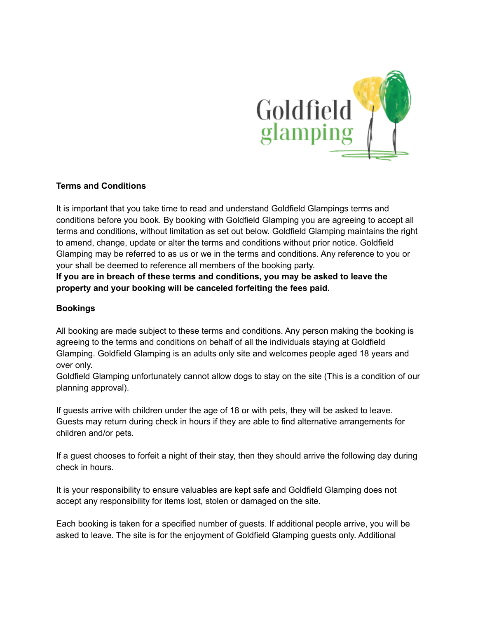

## **Terms and Conditions**

It is important that you take time to read and understand Goldfield Glampings terms and conditions before you book. By booking with Goldfield Glamping you are agreeing to accept all terms and conditions, without limitation as set out below. Goldfield Glamping maintains the right to amend, change, update or alter the terms and conditions without prior notice. Goldfield Glamping may be referred to as us or we in the terms and conditions. Any reference to you or your shall be deemed to reference all members of the booking party.

**If you are in breach of these terms and conditions, you may be asked to leave the property and your booking will be canceled forfeiting the fees paid.**

## **Bookings**

All booking are made subject to these terms and conditions. Any person making the booking is agreeing to the terms and conditions on behalf of all the individuals staying at Goldfield Glamping. Goldfield Glamping is an adults only site and welcomes people aged 18 years and over only.

Goldfield Glamping unfortunately cannot allow dogs to stay on the site (This is a condition of our planning approval).

If guests arrive with children under the age of 18 or with pets, they will be asked to leave. Guests may return during check in hours if they are able to find alternative arrangements for children and/or pets.

If a guest chooses to forfeit a night of their stay, then they should arrive the following day during check in hours.

It is your responsibility to ensure valuables are kept safe and Goldfield Glamping does not accept any responsibility for items lost, stolen or damaged on the site.

Each booking is taken for a specified number of guests. If additional people arrive, you will be asked to leave. The site is for the enjoyment of Goldfield Glamping guests only. Additional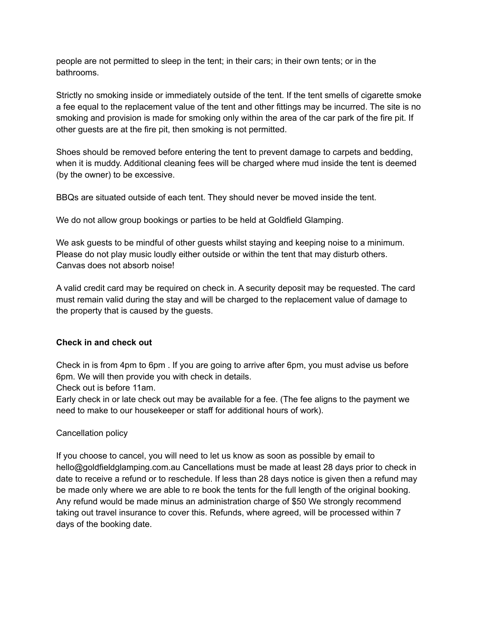people are not permitted to sleep in the tent; in their cars; in their own tents; or in the bathrooms.

Strictly no smoking inside or immediately outside of the tent. If the tent smells of cigarette smoke a fee equal to the replacement value of the tent and other fittings may be incurred. The site is no smoking and provision is made for smoking only within the area of the car park of the fire pit. If other guests are at the fire pit, then smoking is not permitted.

Shoes should be removed before entering the tent to prevent damage to carpets and bedding, when it is muddy. Additional cleaning fees will be charged where mud inside the tent is deemed (by the owner) to be excessive.

BBQs are situated outside of each tent. They should never be moved inside the tent.

We do not allow group bookings or parties to be held at Goldfield Glamping.

We ask guests to be mindful of other guests whilst staying and keeping noise to a minimum. Please do not play music loudly either outside or within the tent that may disturb others. Canvas does not absorb noise!

A valid credit card may be required on check in. A security deposit may be requested. The card must remain valid during the stay and will be charged to the replacement value of damage to the property that is caused by the guests.

### **Check in and check out**

Check in is from 4pm to 6pm . If you are going to arrive after 6pm, you must advise us before 6pm. We will then provide you with check in details.

Check out is before 11am.

Early check in or late check out may be available for a fee. (The fee aligns to the payment we need to make to our housekeeper or staff for additional hours of work).

### Cancellation policy

If you choose to cancel, you will need to let us know as soon as possible by email to hello@goldfieldglamping.com.au Cancellations must be made at least 28 days prior to check in date to receive a refund or to reschedule. If less than 28 days notice is given then a refund may be made only where we are able to re book the tents for the full length of the original booking. Any refund would be made minus an administration charge of \$50 We strongly recommend taking out travel insurance to cover this. Refunds, where agreed, will be processed within 7 days of the booking date.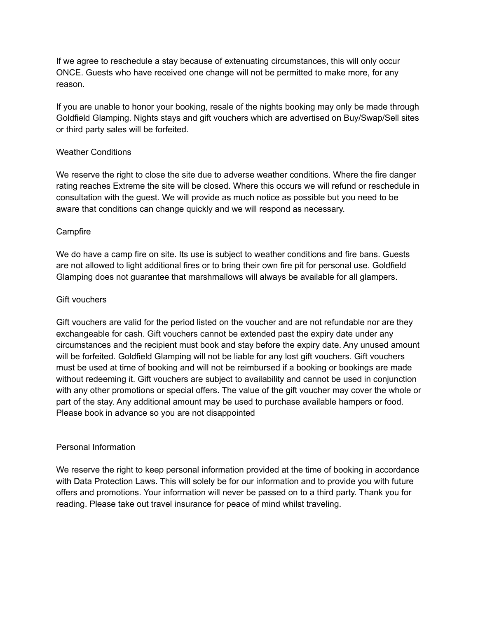If we agree to reschedule a stay because of extenuating circumstances, this will only occur ONCE. Guests who have received one change will not be permitted to make more, for any reason.

If you are unable to honor your booking, resale of the nights booking may only be made through Goldfield Glamping. Nights stays and gift vouchers which are advertised on Buy/Swap/Sell sites or third party sales will be forfeited.

## Weather Conditions

We reserve the right to close the site due to adverse weather conditions. Where the fire danger rating reaches Extreme the site will be closed. Where this occurs we will refund or reschedule in consultation with the guest. We will provide as much notice as possible but you need to be aware that conditions can change quickly and we will respond as necessary.

## **Campfire**

We do have a camp fire on site. Its use is subject to weather conditions and fire bans. Guests are not allowed to light additional fires or to bring their own fire pit for personal use. Goldfield Glamping does not guarantee that marshmallows will always be available for all glampers.

### Gift vouchers

Gift vouchers are valid for the period listed on the voucher and are not refundable nor are they exchangeable for cash. Gift vouchers cannot be extended past the expiry date under any circumstances and the recipient must book and stay before the expiry date. Any unused amount will be forfeited. Goldfield Glamping will not be liable for any lost gift vouchers. Gift vouchers must be used at time of booking and will not be reimbursed if a booking or bookings are made without redeeming it. Gift vouchers are subject to availability and cannot be used in conjunction with any other promotions or special offers. The value of the gift voucher may cover the whole or part of the stay. Any additional amount may be used to purchase available hampers or food. Please book in advance so you are not disappointed

### Personal Information

We reserve the right to keep personal information provided at the time of booking in accordance with Data Protection Laws. This will solely be for our information and to provide you with future offers and promotions. Your information will never be passed on to a third party. Thank you for reading. Please take out travel insurance for peace of mind whilst traveling.